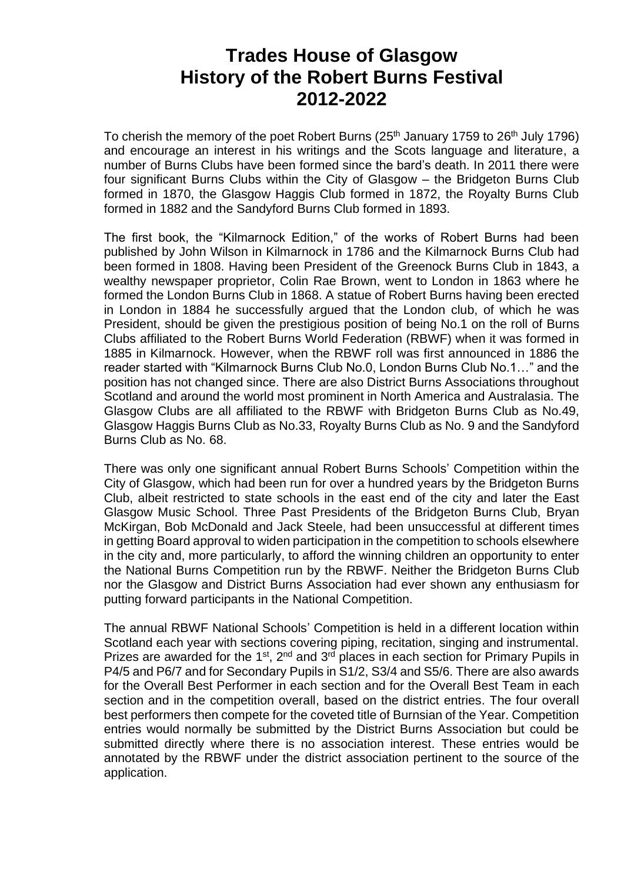# **Trades House of Glasgow History of the Robert Burns Festival 2012-2022**

To cherish the memory of the poet Robert Burns  $(25<sup>th</sup>$  January 1759 to  $26<sup>th</sup>$  July 1796) and encourage an interest in his writings and the Scots language and literature, a number of Burns Clubs have been formed since the bard's death. In 2011 there were four significant Burns Clubs within the City of Glasgow – the Bridgeton Burns Club formed in 1870, the Glasgow Haggis Club formed in 1872, the Royalty Burns Club formed in 1882 and the Sandyford Burns Club formed in 1893.

The first book, the "Kilmarnock Edition," of the works of Robert Burns had been published by John Wilson in Kilmarnock in 1786 and the Kilmarnock Burns Club had been formed in 1808. Having been President of the Greenock Burns Club in 1843, a wealthy newspaper proprietor, Colin Rae Brown, went to London in 1863 where he formed the London Burns Club in 1868. A statue of Robert Burns having been erected in London in 1884 he successfully argued that the London club, of which he was President, should be given the prestigious position of being No.1 on the roll of Burns Clubs affiliated to the Robert Burns World Federation (RBWF) when it was formed in 1885 in Kilmarnock. However, when the RBWF roll was first announced in 1886 the reader started with "Kilmarnock Burns Club No.0, London Burns Club No.1…" and the position has not changed since. There are also District Burns Associations throughout Scotland and around the world most prominent in North America and Australasia. The Glasgow Clubs are all affiliated to the RBWF with Bridgeton Burns Club as No.49, Glasgow Haggis Burns Club as No.33, Royalty Burns Club as No. 9 and the Sandyford Burns Club as No. 68.

There was only one significant annual Robert Burns Schools' Competition within the City of Glasgow, which had been run for over a hundred years by the Bridgeton Burns Club, albeit restricted to state schools in the east end of the city and later the East Glasgow Music School. Three Past Presidents of the Bridgeton Burns Club, Bryan McKirgan, Bob McDonald and Jack Steele, had been unsuccessful at different times in getting Board approval to widen participation in the competition to schools elsewhere in the city and, more particularly, to afford the winning children an opportunity to enter the National Burns Competition run by the RBWF. Neither the Bridgeton Burns Club nor the Glasgow and District Burns Association had ever shown any enthusiasm for putting forward participants in the National Competition.

The annual RBWF National Schools' Competition is held in a different location within Scotland each year with sections covering piping, recitation, singing and instrumental. Prizes are awarded for the 1<sup>st</sup>, 2<sup>nd</sup> and 3<sup>rd</sup> places in each section for Primary Pupils in P4/5 and P6/7 and for Secondary Pupils in S1/2, S3/4 and S5/6. There are also awards for the Overall Best Performer in each section and for the Overall Best Team in each section and in the competition overall, based on the district entries. The four overall best performers then compete for the coveted title of Burnsian of the Year. Competition entries would normally be submitted by the District Burns Association but could be submitted directly where there is no association interest. These entries would be annotated by the RBWF under the district association pertinent to the source of the application.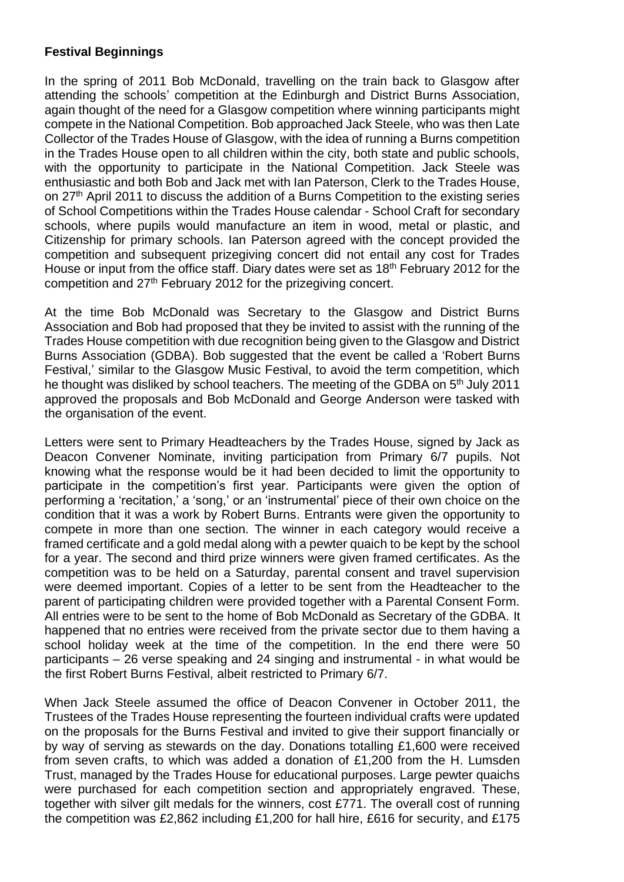## **Festival Beginnings**

In the spring of 2011 Bob McDonald, travelling on the train back to Glasgow after attending the schools' competition at the Edinburgh and District Burns Association, again thought of the need for a Glasgow competition where winning participants might compete in the National Competition. Bob approached Jack Steele, who was then Late Collector of the Trades House of Glasgow, with the idea of running a Burns competition in the Trades House open to all children within the city, both state and public schools, with the opportunity to participate in the National Competition. Jack Steele was enthusiastic and both Bob and Jack met with Ian Paterson, Clerk to the Trades House, on 27th April 2011 to discuss the addition of a Burns Competition to the existing series of School Competitions within the Trades House calendar - School Craft for secondary schools, where pupils would manufacture an item in wood, metal or plastic, and Citizenship for primary schools. Ian Paterson agreed with the concept provided the competition and subsequent prizegiving concert did not entail any cost for Trades House or input from the office staff. Diary dates were set as 18<sup>th</sup> February 2012 for the competition and 27th February 2012 for the prizegiving concert.

At the time Bob McDonald was Secretary to the Glasgow and District Burns Association and Bob had proposed that they be invited to assist with the running of the Trades House competition with due recognition being given to the Glasgow and District Burns Association (GDBA). Bob suggested that the event be called a 'Robert Burns Festival,' similar to the Glasgow Music Festival, to avoid the term competition, which he thought was disliked by school teachers. The meeting of the GDBA on 5<sup>th</sup> July 2011 approved the proposals and Bob McDonald and George Anderson were tasked with the organisation of the event.

Letters were sent to Primary Headteachers by the Trades House, signed by Jack as Deacon Convener Nominate, inviting participation from Primary 6/7 pupils. Not knowing what the response would be it had been decided to limit the opportunity to participate in the competition's first year. Participants were given the option of performing a 'recitation,' a 'song,' or an 'instrumental' piece of their own choice on the condition that it was a work by Robert Burns. Entrants were given the opportunity to compete in more than one section. The winner in each category would receive a framed certificate and a gold medal along with a pewter quaich to be kept by the school for a year. The second and third prize winners were given framed certificates. As the competition was to be held on a Saturday, parental consent and travel supervision were deemed important. Copies of a letter to be sent from the Headteacher to the parent of participating children were provided together with a Parental Consent Form. All entries were to be sent to the home of Bob McDonald as Secretary of the GDBA. It happened that no entries were received from the private sector due to them having a school holiday week at the time of the competition. In the end there were 50 participants – 26 verse speaking and 24 singing and instrumental - in what would be the first Robert Burns Festival, albeit restricted to Primary 6/7.

When Jack Steele assumed the office of Deacon Convener in October 2011, the Trustees of the Trades House representing the fourteen individual crafts were updated on the proposals for the Burns Festival and invited to give their support financially or by way of serving as stewards on the day. Donations totalling £1,600 were received from seven crafts, to which was added a donation of £1,200 from the H. Lumsden Trust, managed by the Trades House for educational purposes. Large pewter quaichs were purchased for each competition section and appropriately engraved. These, together with silver gilt medals for the winners, cost £771. The overall cost of running the competition was £2,862 including £1,200 for hall hire, £616 for security, and £175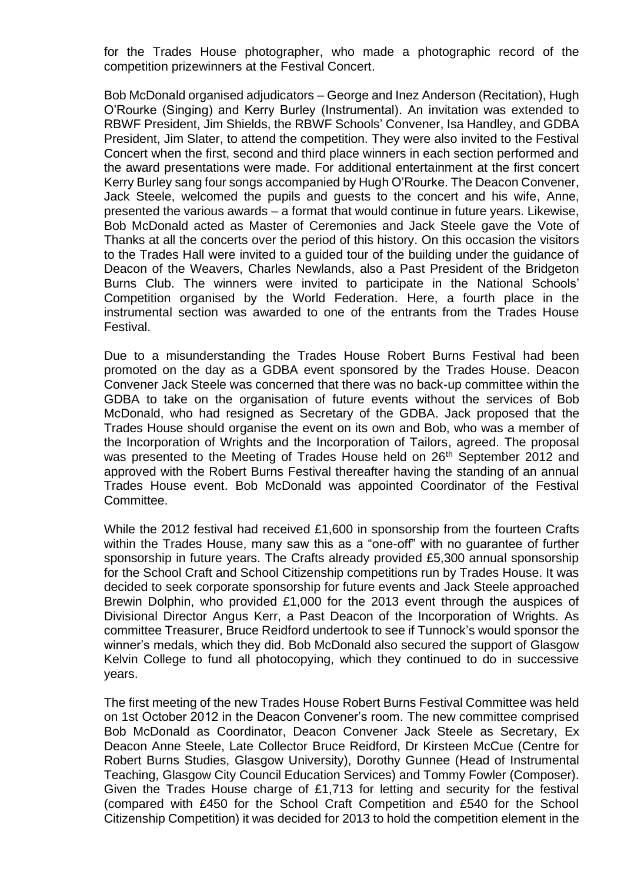for the Trades House photographer, who made a photographic record of the competition prizewinners at the Festival Concert.

Bob McDonald organised adjudicators – George and Inez Anderson (Recitation), Hugh O'Rourke (Singing) and Kerry Burley (Instrumental). An invitation was extended to RBWF President, Jim Shields, the RBWF Schools' Convener, Isa Handley, and GDBA President, Jim Slater, to attend the competition. They were also invited to the Festival Concert when the first, second and third place winners in each section performed and the award presentations were made. For additional entertainment at the first concert Kerry Burley sang four songs accompanied by Hugh O'Rourke. The Deacon Convener, Jack Steele, welcomed the pupils and guests to the concert and his wife, Anne, presented the various awards – a format that would continue in future years. Likewise, Bob McDonald acted as Master of Ceremonies and Jack Steele gave the Vote of Thanks at all the concerts over the period of this history. On this occasion the visitors to the Trades Hall were invited to a guided tour of the building under the guidance of Deacon of the Weavers, Charles Newlands, also a Past President of the Bridgeton Burns Club. The winners were invited to participate in the National Schools' Competition organised by the World Federation. Here, a fourth place in the instrumental section was awarded to one of the entrants from the Trades House Festival.

Due to a misunderstanding the Trades House Robert Burns Festival had been promoted on the day as a GDBA event sponsored by the Trades House. Deacon Convener Jack Steele was concerned that there was no back-up committee within the GDBA to take on the organisation of future events without the services of Bob McDonald, who had resigned as Secretary of the GDBA. Jack proposed that the Trades House should organise the event on its own and Bob, who was a member of the Incorporation of Wrights and the Incorporation of Tailors, agreed. The proposal was presented to the Meeting of Trades House held on 26<sup>th</sup> September 2012 and approved with the Robert Burns Festival thereafter having the standing of an annual Trades House event. Bob McDonald was appointed Coordinator of the Festival Committee.

While the 2012 festival had received £1,600 in sponsorship from the fourteen Crafts within the Trades House, many saw this as a "one-off" with no guarantee of further sponsorship in future years. The Crafts already provided £5,300 annual sponsorship for the School Craft and School Citizenship competitions run by Trades House. It was decided to seek corporate sponsorship for future events and Jack Steele approached Brewin Dolphin, who provided £1,000 for the 2013 event through the auspices of Divisional Director Angus Kerr, a Past Deacon of the Incorporation of Wrights. As committee Treasurer, Bruce Reidford undertook to see if Tunnock's would sponsor the winner's medals, which they did. Bob McDonald also secured the support of Glasgow Kelvin College to fund all photocopying, which they continued to do in successive years.

The first meeting of the new Trades House Robert Burns Festival Committee was held on 1st October 2012 in the Deacon Convener's room. The new committee comprised Bob McDonald as Coordinator, Deacon Convener Jack Steele as Secretary, Ex Deacon Anne Steele, Late Collector Bruce Reidford, Dr Kirsteen McCue (Centre for Robert Burns Studies, Glasgow University), Dorothy Gunnee (Head of Instrumental Teaching, Glasgow City Council Education Services) and Tommy Fowler (Composer). Given the Trades House charge of £1,713 for letting and security for the festival (compared with £450 for the School Craft Competition and £540 for the School Citizenship Competition) it was decided for 2013 to hold the competition element in the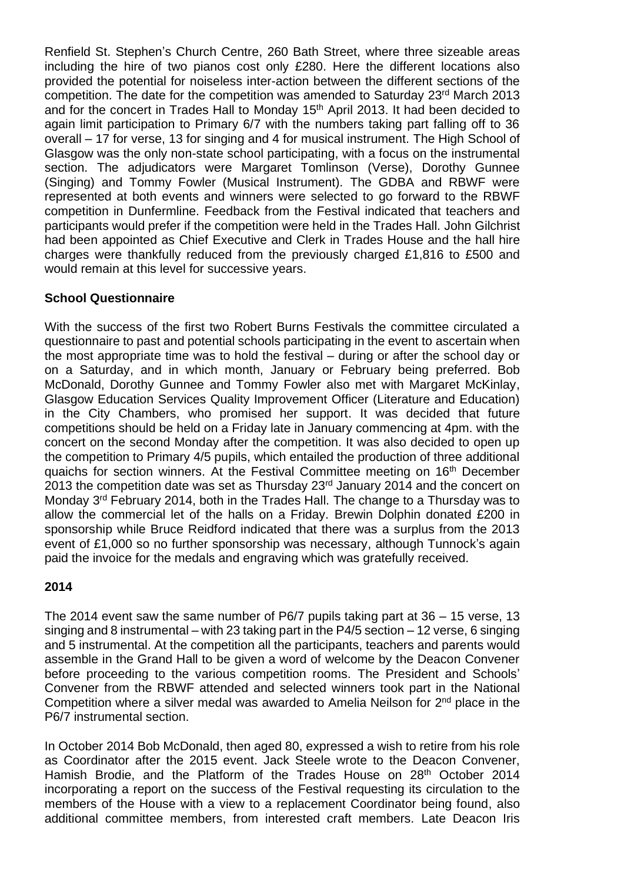Renfield St. Stephen's Church Centre, 260 Bath Street, where three sizeable areas including the hire of two pianos cost only £280. Here the different locations also provided the potential for noiseless inter-action between the different sections of the competition. The date for the competition was amended to Saturday 23rd March 2013 and for the concert in Trades Hall to Monday 15<sup>th</sup> April 2013. It had been decided to again limit participation to Primary 6/7 with the numbers taking part falling off to 36 overall – 17 for verse, 13 for singing and 4 for musical instrument. The High School of Glasgow was the only non-state school participating, with a focus on the instrumental section. The adjudicators were Margaret Tomlinson (Verse), Dorothy Gunnee (Singing) and Tommy Fowler (Musical Instrument). The GDBA and RBWF were represented at both events and winners were selected to go forward to the RBWF competition in Dunfermline. Feedback from the Festival indicated that teachers and participants would prefer if the competition were held in the Trades Hall. John Gilchrist had been appointed as Chief Executive and Clerk in Trades House and the hall hire charges were thankfully reduced from the previously charged £1,816 to £500 and would remain at this level for successive years.

## **School Questionnaire**

With the success of the first two Robert Burns Festivals the committee circulated a questionnaire to past and potential schools participating in the event to ascertain when the most appropriate time was to hold the festival – during or after the school day or on a Saturday, and in which month, January or February being preferred. Bob McDonald, Dorothy Gunnee and Tommy Fowler also met with Margaret McKinlay, Glasgow Education Services Quality Improvement Officer (Literature and Education) in the City Chambers, who promised her support. It was decided that future competitions should be held on a Friday late in January commencing at 4pm. with the concert on the second Monday after the competition. It was also decided to open up the competition to Primary 4/5 pupils, which entailed the production of three additional quaichs for section winners. At the Festival Committee meeting on 16<sup>th</sup> December 2013 the competition date was set as Thursday 23rd January 2014 and the concert on Monday 3<sup>rd</sup> February 2014, both in the Trades Hall. The change to a Thursday was to allow the commercial let of the halls on a Friday. Brewin Dolphin donated £200 in sponsorship while Bruce Reidford indicated that there was a surplus from the 2013 event of £1,000 so no further sponsorship was necessary, although Tunnock's again paid the invoice for the medals and engraving which was gratefully received.

## **2014**

The 2014 event saw the same number of P6/7 pupils taking part at 36 – 15 verse, 13 singing and 8 instrumental – with 23 taking part in the P4/5 section – 12 verse, 6 singing and 5 instrumental. At the competition all the participants, teachers and parents would assemble in the Grand Hall to be given a word of welcome by the Deacon Convener before proceeding to the various competition rooms. The President and Schools' Convener from the RBWF attended and selected winners took part in the National Competition where a silver medal was awarded to Amelia Neilson for  $2<sup>nd</sup>$  place in the P6/7 instrumental section.

In October 2014 Bob McDonald, then aged 80, expressed a wish to retire from his role as Coordinator after the 2015 event. Jack Steele wrote to the Deacon Convener, Hamish Brodie, and the Platform of the Trades House on 28<sup>th</sup> October 2014 incorporating a report on the success of the Festival requesting its circulation to the members of the House with a view to a replacement Coordinator being found, also additional committee members, from interested craft members. Late Deacon Iris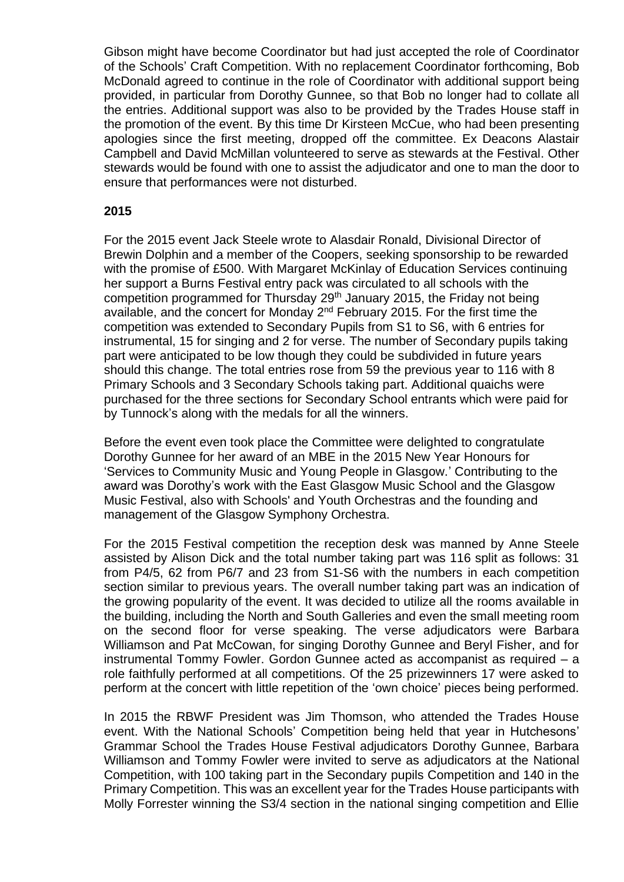Gibson might have become Coordinator but had just accepted the role of Coordinator of the Schools' Craft Competition. With no replacement Coordinator forthcoming, Bob McDonald agreed to continue in the role of Coordinator with additional support being provided, in particular from Dorothy Gunnee, so that Bob no longer had to collate all the entries. Additional support was also to be provided by the Trades House staff in the promotion of the event. By this time Dr Kirsteen McCue, who had been presenting apologies since the first meeting, dropped off the committee. Ex Deacons Alastair Campbell and David McMillan volunteered to serve as stewards at the Festival. Other stewards would be found with one to assist the adjudicator and one to man the door to ensure that performances were not disturbed.

## **2015**

For the 2015 event Jack Steele wrote to Alasdair Ronald, Divisional Director of Brewin Dolphin and a member of the Coopers, seeking sponsorship to be rewarded with the promise of £500. With Margaret McKinlay of Education Services continuing her support a Burns Festival entry pack was circulated to all schools with the competition programmed for Thursday 29th January 2015, the Friday not being available, and the concert for Monday 2<sup>nd</sup> February 2015. For the first time the competition was extended to Secondary Pupils from S1 to S6, with 6 entries for instrumental, 15 for singing and 2 for verse. The number of Secondary pupils taking part were anticipated to be low though they could be subdivided in future years should this change. The total entries rose from 59 the previous year to 116 with 8 Primary Schools and 3 Secondary Schools taking part. Additional quaichs were purchased for the three sections for Secondary School entrants which were paid for by Tunnock's along with the medals for all the winners.

Before the event even took place the Committee were delighted to congratulate Dorothy Gunnee for her award of an MBE in the 2015 New Year Honours for 'Services to Community Music and Young People in Glasgow.' Contributing to the award was Dorothy's work with the East Glasgow Music School and the Glasgow Music Festival, also with Schools' and Youth Orchestras and the founding and management of the Glasgow Symphony Orchestra.

For the 2015 Festival competition the reception desk was manned by Anne Steele assisted by Alison Dick and the total number taking part was 116 split as follows: 31 from P4/5, 62 from P6/7 and 23 from S1-S6 with the numbers in each competition section similar to previous years. The overall number taking part was an indication of the growing popularity of the event. It was decided to utilize all the rooms available in the building, including the North and South Galleries and even the small meeting room on the second floor for verse speaking. The verse adjudicators were Barbara Williamson and Pat McCowan, for singing Dorothy Gunnee and Beryl Fisher, and for instrumental Tommy Fowler. Gordon Gunnee acted as accompanist as required – a role faithfully performed at all competitions. Of the 25 prizewinners 17 were asked to perform at the concert with little repetition of the 'own choice' pieces being performed.

In 2015 the RBWF President was Jim Thomson, who attended the Trades House event. With the National Schools' Competition being held that year in Hutchesons' Grammar School the Trades House Festival adjudicators Dorothy Gunnee, Barbara Williamson and Tommy Fowler were invited to serve as adjudicators at the National Competition, with 100 taking part in the Secondary pupils Competition and 140 in the Primary Competition. This was an excellent year for the Trades House participants with Molly Forrester winning the S3/4 section in the national singing competition and Ellie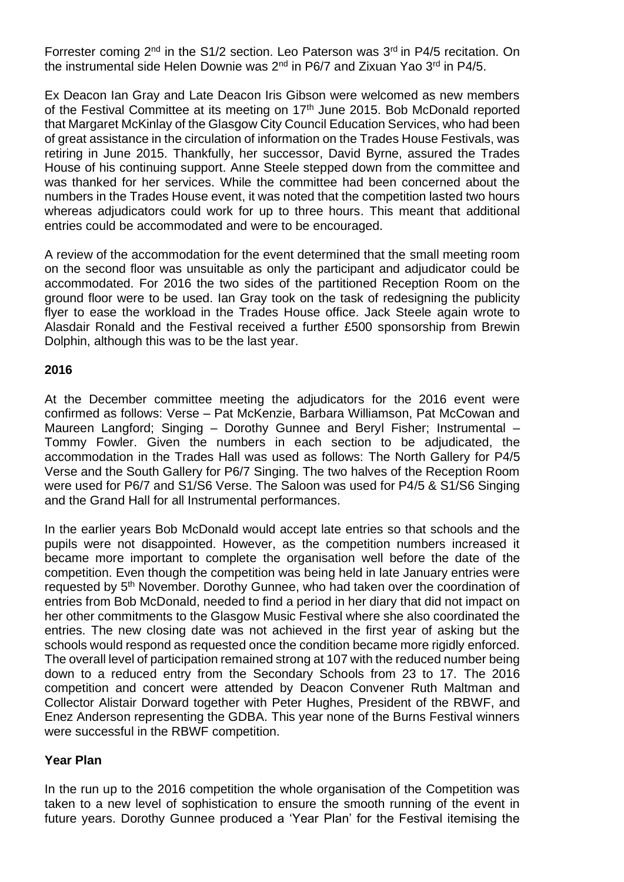Forrester coming 2<sup>nd</sup> in the S1/2 section. Leo Paterson was 3<sup>rd</sup> in P4/5 recitation. On the instrumental side Helen Downie was  $2<sup>nd</sup>$  in P6/7 and Zixuan Yao 3<sup>rd</sup> in P4/5.

Ex Deacon Ian Gray and Late Deacon Iris Gibson were welcomed as new members of the Festival Committee at its meeting on 17<sup>th</sup> June 2015. Bob McDonald reported that Margaret McKinlay of the Glasgow City Council Education Services, who had been of great assistance in the circulation of information on the Trades House Festivals, was retiring in June 2015. Thankfully, her successor, David Byrne, assured the Trades House of his continuing support. Anne Steele stepped down from the committee and was thanked for her services. While the committee had been concerned about the numbers in the Trades House event, it was noted that the competition lasted two hours whereas adjudicators could work for up to three hours. This meant that additional entries could be accommodated and were to be encouraged.

A review of the accommodation for the event determined that the small meeting room on the second floor was unsuitable as only the participant and adjudicator could be accommodated. For 2016 the two sides of the partitioned Reception Room on the ground floor were to be used. Ian Gray took on the task of redesigning the publicity flyer to ease the workload in the Trades House office. Jack Steele again wrote to Alasdair Ronald and the Festival received a further £500 sponsorship from Brewin Dolphin, although this was to be the last year.

## **2016**

At the December committee meeting the adjudicators for the 2016 event were confirmed as follows: Verse – Pat McKenzie, Barbara Williamson, Pat McCowan and Maureen Langford; Singing – Dorothy Gunnee and Beryl Fisher; Instrumental – Tommy Fowler. Given the numbers in each section to be adjudicated, the accommodation in the Trades Hall was used as follows: The North Gallery for P4/5 Verse and the South Gallery for P6/7 Singing. The two halves of the Reception Room were used for P6/7 and S1/S6 Verse. The Saloon was used for P4/5 & S1/S6 Singing and the Grand Hall for all Instrumental performances.

In the earlier years Bob McDonald would accept late entries so that schools and the pupils were not disappointed. However, as the competition numbers increased it became more important to complete the organisation well before the date of the competition. Even though the competition was being held in late January entries were requested by 5<sup>th</sup> November. Dorothy Gunnee, who had taken over the coordination of entries from Bob McDonald, needed to find a period in her diary that did not impact on her other commitments to the Glasgow Music Festival where she also coordinated the entries. The new closing date was not achieved in the first year of asking but the schools would respond as requested once the condition became more rigidly enforced. The overall level of participation remained strong at 107 with the reduced number being down to a reduced entry from the Secondary Schools from 23 to 17. The 2016 competition and concert were attended by Deacon Convener Ruth Maltman and Collector Alistair Dorward together with Peter Hughes, President of the RBWF, and Enez Anderson representing the GDBA. This year none of the Burns Festival winners were successful in the RBWF competition.

## **Year Plan**

In the run up to the 2016 competition the whole organisation of the Competition was taken to a new level of sophistication to ensure the smooth running of the event in future years. Dorothy Gunnee produced a 'Year Plan' for the Festival itemising the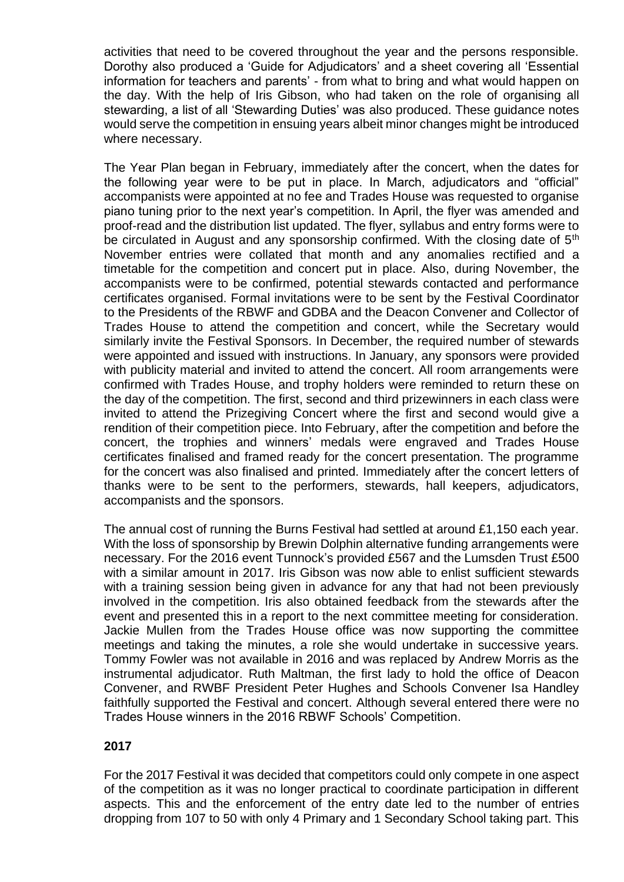activities that need to be covered throughout the year and the persons responsible. Dorothy also produced a 'Guide for Adjudicators' and a sheet covering all 'Essential information for teachers and parents' - from what to bring and what would happen on the day. With the help of Iris Gibson, who had taken on the role of organising all stewarding, a list of all 'Stewarding Duties' was also produced. These guidance notes would serve the competition in ensuing years albeit minor changes might be introduced where necessary.

The Year Plan began in February, immediately after the concert, when the dates for the following year were to be put in place. In March, adjudicators and "official" accompanists were appointed at no fee and Trades House was requested to organise piano tuning prior to the next year's competition. In April, the flyer was amended and proof-read and the distribution list updated. The flyer, syllabus and entry forms were to be circulated in August and any sponsorship confirmed. With the closing date of 5<sup>th</sup> November entries were collated that month and any anomalies rectified and a timetable for the competition and concert put in place. Also, during November, the accompanists were to be confirmed, potential stewards contacted and performance certificates organised. Formal invitations were to be sent by the Festival Coordinator to the Presidents of the RBWF and GDBA and the Deacon Convener and Collector of Trades House to attend the competition and concert, while the Secretary would similarly invite the Festival Sponsors. In December, the required number of stewards were appointed and issued with instructions. In January, any sponsors were provided with publicity material and invited to attend the concert. All room arrangements were confirmed with Trades House, and trophy holders were reminded to return these on the day of the competition. The first, second and third prizewinners in each class were invited to attend the Prizegiving Concert where the first and second would give a rendition of their competition piece. Into February, after the competition and before the concert, the trophies and winners' medals were engraved and Trades House certificates finalised and framed ready for the concert presentation. The programme for the concert was also finalised and printed. Immediately after the concert letters of thanks were to be sent to the performers, stewards, hall keepers, adjudicators, accompanists and the sponsors.

The annual cost of running the Burns Festival had settled at around £1,150 each year. With the loss of sponsorship by Brewin Dolphin alternative funding arrangements were necessary. For the 2016 event Tunnock's provided £567 and the Lumsden Trust £500 with a similar amount in 2017. Iris Gibson was now able to enlist sufficient stewards with a training session being given in advance for any that had not been previously involved in the competition. Iris also obtained feedback from the stewards after the event and presented this in a report to the next committee meeting for consideration. Jackie Mullen from the Trades House office was now supporting the committee meetings and taking the minutes, a role she would undertake in successive years. Tommy Fowler was not available in 2016 and was replaced by Andrew Morris as the instrumental adjudicator. Ruth Maltman, the first lady to hold the office of Deacon Convener, and RWBF President Peter Hughes and Schools Convener Isa Handley faithfully supported the Festival and concert. Although several entered there were no Trades House winners in the 2016 RBWF Schools' Competition.

## **2017**

For the 2017 Festival it was decided that competitors could only compete in one aspect of the competition as it was no longer practical to coordinate participation in different aspects. This and the enforcement of the entry date led to the number of entries dropping from 107 to 50 with only 4 Primary and 1 Secondary School taking part. This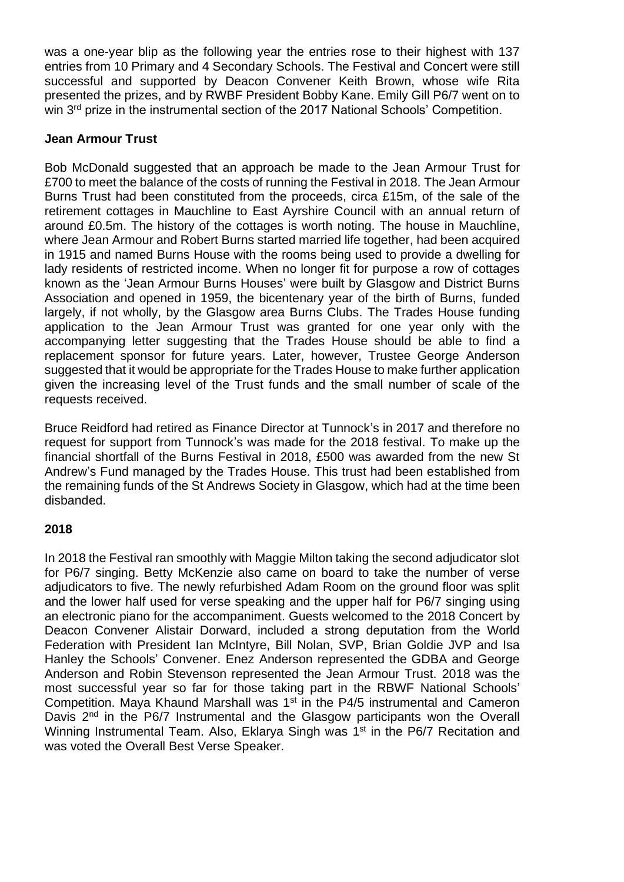was a one-year blip as the following year the entries rose to their highest with 137 entries from 10 Primary and 4 Secondary Schools. The Festival and Concert were still successful and supported by Deacon Convener Keith Brown, whose wife Rita presented the prizes, and by RWBF President Bobby Kane. Emily Gill P6/7 went on to win 3<sup>rd</sup> prize in the instrumental section of the 2017 National Schools' Competition.

## **Jean Armour Trust**

Bob McDonald suggested that an approach be made to the Jean Armour Trust for £700 to meet the balance of the costs of running the Festival in 2018. The Jean Armour Burns Trust had been constituted from the proceeds, circa £15m, of the sale of the retirement cottages in Mauchline to East Ayrshire Council with an annual return of around £0.5m. The history of the cottages is worth noting. The house in Mauchline, where Jean Armour and Robert Burns started married life together, had been acquired in 1915 and named Burns House with the rooms being used to provide a dwelling for lady residents of restricted income. When no longer fit for purpose a row of cottages known as the 'Jean Armour Burns Houses' were built by Glasgow and District Burns Association and opened in 1959, the bicentenary year of the birth of Burns, funded largely, if not wholly, by the Glasgow area Burns Clubs. The Trades House funding application to the Jean Armour Trust was granted for one year only with the accompanying letter suggesting that the Trades House should be able to find a replacement sponsor for future years. Later, however, Trustee George Anderson suggested that it would be appropriate for the Trades House to make further application given the increasing level of the Trust funds and the small number of scale of the requests received.

Bruce Reidford had retired as Finance Director at Tunnock's in 2017 and therefore no request for support from Tunnock's was made for the 2018 festival. To make up the financial shortfall of the Burns Festival in 2018, £500 was awarded from the new St Andrew's Fund managed by the Trades House. This trust had been established from the remaining funds of the St Andrews Society in Glasgow, which had at the time been disbanded.

## **2018**

In 2018 the Festival ran smoothly with Maggie Milton taking the second adjudicator slot for P6/7 singing. Betty McKenzie also came on board to take the number of verse adjudicators to five. The newly refurbished Adam Room on the ground floor was split and the lower half used for verse speaking and the upper half for P6/7 singing using an electronic piano for the accompaniment. Guests welcomed to the 2018 Concert by Deacon Convener Alistair Dorward, included a strong deputation from the World Federation with President Ian McIntyre, Bill Nolan, SVP, Brian Goldie JVP and Isa Hanley the Schools' Convener. Enez Anderson represented the GDBA and George Anderson and Robin Stevenson represented the Jean Armour Trust. 2018 was the most successful year so far for those taking part in the RBWF National Schools' Competition. Maya Khaund Marshall was 1<sup>st</sup> in the P4/5 instrumental and Cameron Davis 2<sup>nd</sup> in the P6/7 Instrumental and the Glasgow participants won the Overall Winning Instrumental Team. Also, Eklarya Singh was 1<sup>st</sup> in the P6/7 Recitation and was voted the Overall Best Verse Speaker.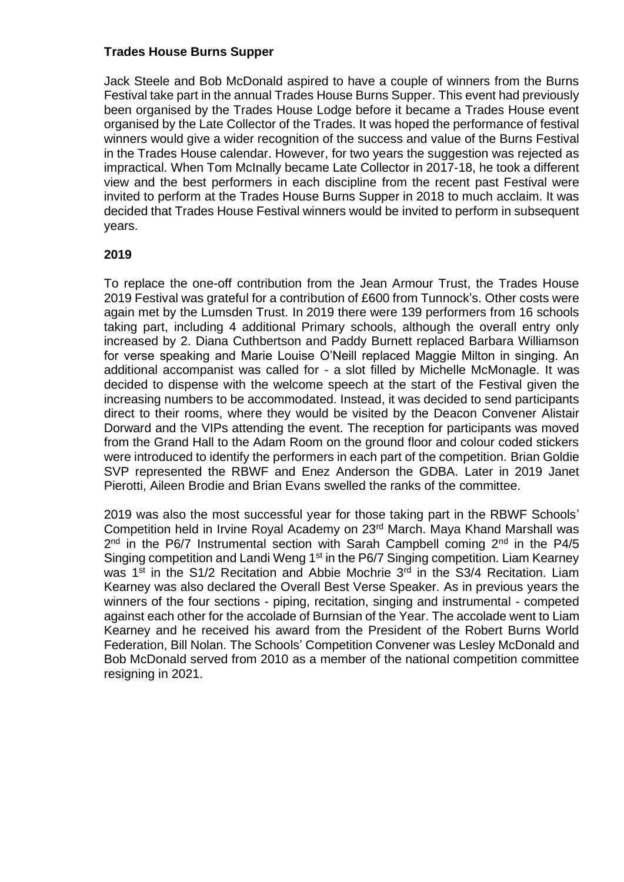## **Trades House Burns Supper**

Jack Steele and Bob McDonald aspired to have a couple of winners from the Burns Festival take part in the annual Trades House Burns Supper. This event had previously been organised by the Trades House Lodge before it became a Trades House event organised by the Late Collector of the Trades. It was hoped the performance of festival winners would give a wider recognition of the success and value of the Burns Festival in the Trades House calendar. However, for two years the suggestion was rejected as impractical. When Tom McInally became Late Collector in 2017-18, he took a different view and the best performers in each discipline from the recent past Festival were invited to perform at the Trades House Burns Supper in 2018 to much acclaim. It was decided that Trades House Festival winners would be invited to perform in subsequent years.

## **2019**

To replace the one-off contribution from the Jean Armour Trust, the Trades House 2019 Festival was grateful for a contribution of £600 from Tunnock's. Other costs were again met by the Lumsden Trust. In 2019 there were 139 performers from 16 schools taking part, including 4 additional Primary schools, although the overall entry only increased by 2. Diana Cuthbertson and Paddy Burnett replaced Barbara Williamson for verse speaking and Marie Louise O'Neill replaced Maggie Milton in singing. An additional accompanist was called for - a slot filled by Michelle McMonagle. It was decided to dispense with the welcome speech at the start of the Festival given the increasing numbers to be accommodated. Instead, it was decided to send participants direct to their rooms, where they would be visited by the Deacon Convener Alistair Dorward and the VIPs attending the event. The reception for participants was moved from the Grand Hall to the Adam Room on the ground floor and colour coded stickers were introduced to identify the performers in each part of the competition. Brian Goldie SVP represented the RBWF and Enez Anderson the GDBA. Later in 2019 Janet Pierotti, Aileen Brodie and Brian Evans swelled the ranks of the committee.

2019 was also the most successful year for those taking part in the RBWF Schools' Competition held in Irvine Royal Academy on 23rd March. Maya Khand Marshall was  $2<sup>nd</sup>$  in the P6/7 Instrumental section with Sarah Campbell coming  $2<sup>nd</sup>$  in the P4/5 Singing competition and Landi Weng 1<sup>st</sup> in the P6/7 Singing competition. Liam Kearney was  $1<sup>st</sup>$  in the S1/2 Recitation and Abbie Mochrie  $3<sup>rd</sup>$  in the S3/4 Recitation. Liam Kearney was also declared the Overall Best Verse Speaker. As in previous years the winners of the four sections - piping, recitation, singing and instrumental - competed against each other for the accolade of Burnsian of the Year. The accolade went to Liam Kearney and he received his award from the President of the Robert Burns World Federation, Bill Nolan. The Schools' Competition Convener was Lesley McDonald and Bob McDonald served from 2010 as a member of the national competition committee resigning in 2021.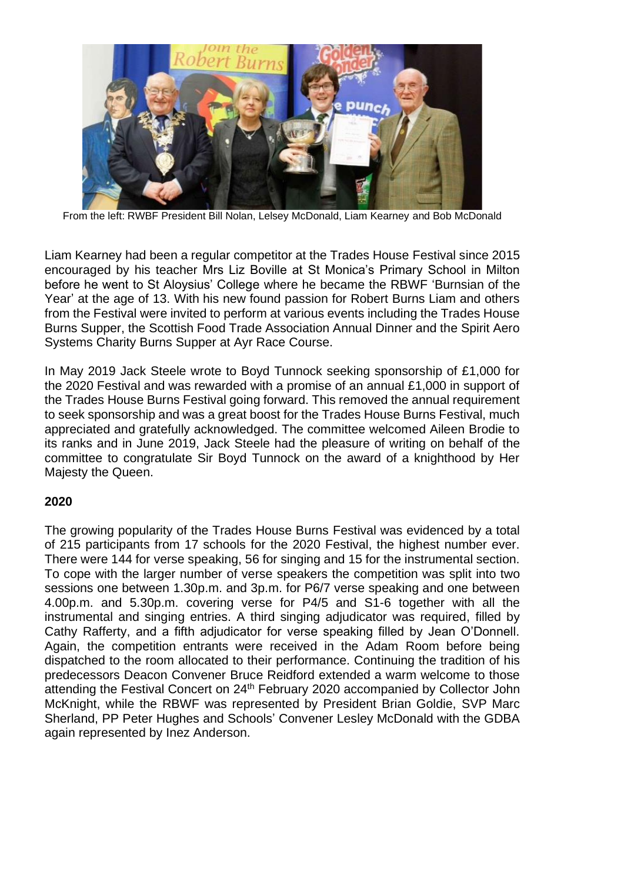

From the left: RWBF President Bill Nolan, Lelsey McDonald, Liam Kearney and Bob McDonald

Liam Kearney had been a regular competitor at the Trades House Festival since 2015 encouraged by his teacher Mrs Liz Boville at St Monica's Primary School in Milton before he went to St Aloysius' College where he became the RBWF 'Burnsian of the Year' at the age of 13. With his new found passion for Robert Burns Liam and others from the Festival were invited to perform at various events including the Trades House Burns Supper, the Scottish Food Trade Association Annual Dinner and the Spirit Aero Systems Charity Burns Supper at Ayr Race Course.

In May 2019 Jack Steele wrote to Boyd Tunnock seeking sponsorship of £1,000 for the 2020 Festival and was rewarded with a promise of an annual £1,000 in support of the Trades House Burns Festival going forward. This removed the annual requirement to seek sponsorship and was a great boost for the Trades House Burns Festival, much appreciated and gratefully acknowledged. The committee welcomed Aileen Brodie to its ranks and in June 2019, Jack Steele had the pleasure of writing on behalf of the committee to congratulate Sir Boyd Tunnock on the award of a knighthood by Her Majesty the Queen.

## **2020**

The growing popularity of the Trades House Burns Festival was evidenced by a total of 215 participants from 17 schools for the 2020 Festival, the highest number ever. There were 144 for verse speaking, 56 for singing and 15 for the instrumental section. To cope with the larger number of verse speakers the competition was split into two sessions one between 1.30p.m. and 3p.m. for P6/7 verse speaking and one between 4.00p.m. and 5.30p.m. covering verse for P4/5 and S1-6 together with all the instrumental and singing entries. A third singing adjudicator was required, filled by Cathy Rafferty, and a fifth adjudicator for verse speaking filled by Jean O'Donnell. Again, the competition entrants were received in the Adam Room before being dispatched to the room allocated to their performance. Continuing the tradition of his predecessors Deacon Convener Bruce Reidford extended a warm welcome to those attending the Festival Concert on 24<sup>th</sup> February 2020 accompanied by Collector John McKnight, while the RBWF was represented by President Brian Goldie, SVP Marc Sherland, PP Peter Hughes and Schools' Convener Lesley McDonald with the GDBA again represented by Inez Anderson.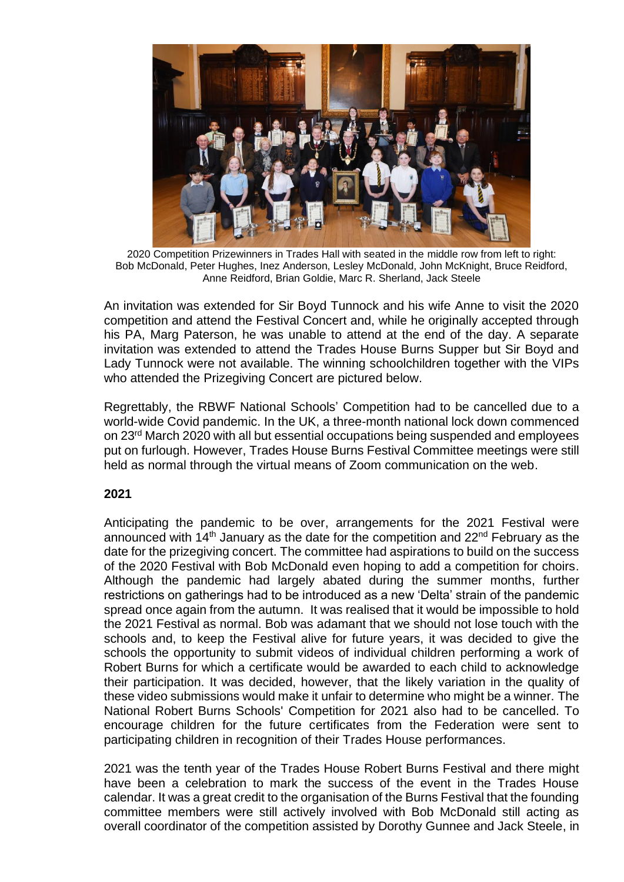

2020 Competition Prizewinners in Trades Hall with seated in the middle row from left to right: Bob McDonald, Peter Hughes, Inez Anderson, Lesley McDonald, John McKnight, Bruce Reidford, Anne Reidford, Brian Goldie, Marc R. Sherland, Jack Steele

An invitation was extended for Sir Boyd Tunnock and his wife Anne to visit the 2020 competition and attend the Festival Concert and, while he originally accepted through his PA, Marg Paterson, he was unable to attend at the end of the day. A separate invitation was extended to attend the Trades House Burns Supper but Sir Boyd and Lady Tunnock were not available. The winning schoolchildren together with the VIPs who attended the Prizegiving Concert are pictured below.

Regrettably, the RBWF National Schools' Competition had to be cancelled due to a world-wide Covid pandemic. In the UK, a three-month national lock down commenced on 23rd March 2020 with all but essential occupations being suspended and employees put on furlough. However, Trades House Burns Festival Committee meetings were still held as normal through the virtual means of Zoom communication on the web.

## **2021**

Anticipating the pandemic to be over, arrangements for the 2021 Festival were announced with 14<sup>th</sup> January as the date for the competition and  $22<sup>nd</sup>$  February as the date for the prizegiving concert. The committee had aspirations to build on the success of the 2020 Festival with Bob McDonald even hoping to add a competition for choirs. Although the pandemic had largely abated during the summer months, further restrictions on gatherings had to be introduced as a new 'Delta' strain of the pandemic spread once again from the autumn. It was realised that it would be impossible to hold the 2021 Festival as normal. Bob was adamant that we should not lose touch with the schools and, to keep the Festival alive for future years, it was decided to give the schools the opportunity to submit videos of individual children performing a work of Robert Burns for which a certificate would be awarded to each child to acknowledge their participation. It was decided, however, that the likely variation in the quality of these video submissions would make it unfair to determine who might be a winner. The National Robert Burns Schools' Competition for 2021 also had to be cancelled. To encourage children for the future certificates from the Federation were sent to participating children in recognition of their Trades House performances.

2021 was the tenth year of the Trades House Robert Burns Festival and there might have been a celebration to mark the success of the event in the Trades House calendar. It was a great credit to the organisation of the Burns Festival that the founding committee members were still actively involved with Bob McDonald still acting as overall coordinator of the competition assisted by Dorothy Gunnee and Jack Steele, in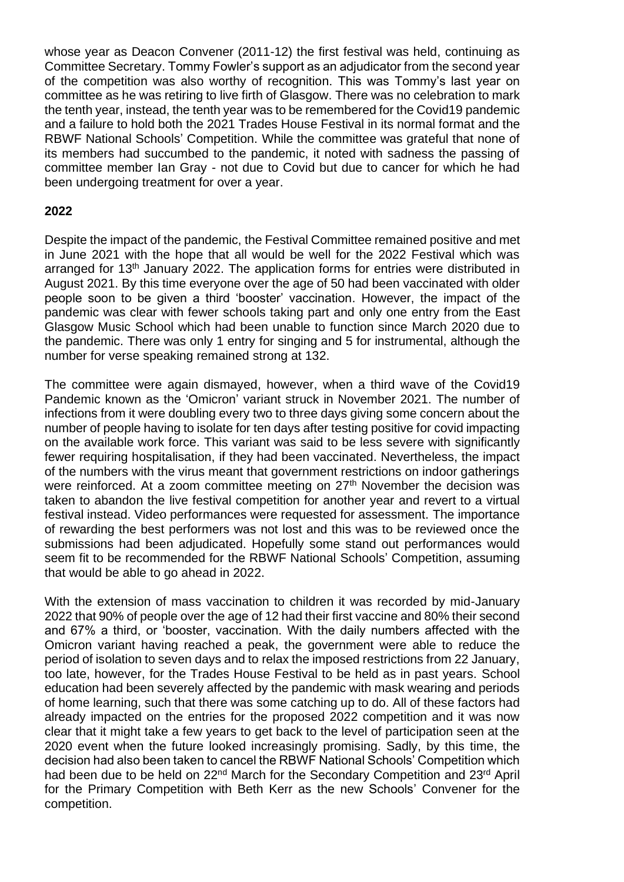whose year as Deacon Convener (2011-12) the first festival was held, continuing as Committee Secretary. Tommy Fowler's support as an adjudicator from the second year of the competition was also worthy of recognition. This was Tommy's last year on committee as he was retiring to live firth of Glasgow. There was no celebration to mark the tenth year, instead, the tenth year was to be remembered for the Covid19 pandemic and a failure to hold both the 2021 Trades House Festival in its normal format and the RBWF National Schools' Competition. While the committee was grateful that none of its members had succumbed to the pandemic, it noted with sadness the passing of committee member Ian Gray - not due to Covid but due to cancer for which he had been undergoing treatment for over a year.

## **2022**

Despite the impact of the pandemic, the Festival Committee remained positive and met in June 2021 with the hope that all would be well for the 2022 Festival which was arranged for 13<sup>th</sup> January 2022. The application forms for entries were distributed in August 2021. By this time everyone over the age of 50 had been vaccinated with older people soon to be given a third 'booster' vaccination. However, the impact of the pandemic was clear with fewer schools taking part and only one entry from the East Glasgow Music School which had been unable to function since March 2020 due to the pandemic. There was only 1 entry for singing and 5 for instrumental, although the number for verse speaking remained strong at 132.

The committee were again dismayed, however, when a third wave of the Covid19 Pandemic known as the 'Omicron' variant struck in November 2021. The number of infections from it were doubling every two to three days giving some concern about the number of people having to isolate for ten days after testing positive for covid impacting on the available work force. This variant was said to be less severe with significantly fewer requiring hospitalisation, if they had been vaccinated. Nevertheless, the impact of the numbers with the virus meant that government restrictions on indoor gatherings were reinforced. At a zoom committee meeting on  $27<sup>th</sup>$  November the decision was taken to abandon the live festival competition for another year and revert to a virtual festival instead. Video performances were requested for assessment. The importance of rewarding the best performers was not lost and this was to be reviewed once the submissions had been adjudicated. Hopefully some stand out performances would seem fit to be recommended for the RBWF National Schools' Competition, assuming that would be able to go ahead in 2022.

With the extension of mass vaccination to children it was recorded by mid-January 2022 that 90% of people over the age of 12 had their first vaccine and 80% their second and 67% a third, or 'booster, vaccination. With the daily numbers affected with the Omicron variant having reached a peak, the government were able to reduce the period of isolation to seven days and to relax the imposed restrictions from 22 January, too late, however, for the Trades House Festival to be held as in past years. School education had been severely affected by the pandemic with mask wearing and periods of home learning, such that there was some catching up to do. All of these factors had already impacted on the entries for the proposed 2022 competition and it was now clear that it might take a few years to get back to the level of participation seen at the 2020 event when the future looked increasingly promising. Sadly, by this time, the decision had also been taken to cancel the RBWF National Schools' Competition which had been due to be held on 22<sup>nd</sup> March for the Secondary Competition and 23<sup>rd</sup> April for the Primary Competition with Beth Kerr as the new Schools' Convener for the competition.